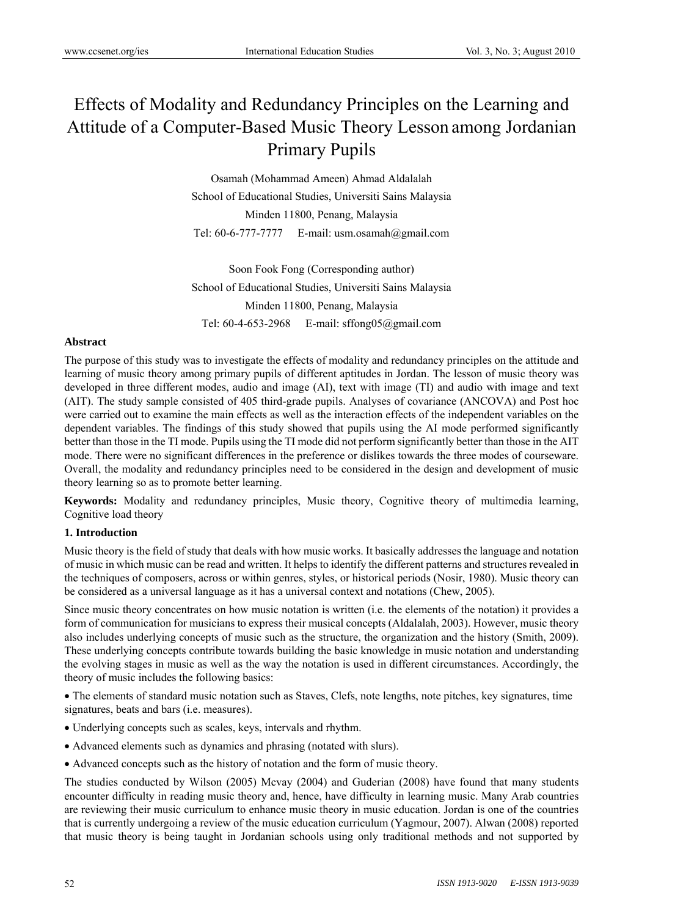# Effects of Modality and Redundancy Principles on the Learning and Attitude of a Computer-Based Music Theory Lesson among Jordanian Primary Pupils

Osamah (Mohammad Ameen) Ahmad Aldalalah School of Educational Studies, Universiti Sains Malaysia Minden 11800, Penang, Malaysia Tel: 60-6-777-7777 E-mail: usm.osamah@gmail.com

Soon Fook Fong (Corresponding author) School of Educational Studies, Universiti Sains Malaysia Minden 11800, Penang, Malaysia Tel: 60-4-653-2968 E-mail: sffong05@gmail.com

#### **Abstract**

The purpose of this study was to investigate the effects of modality and redundancy principles on the attitude and learning of music theory among primary pupils of different aptitudes in Jordan. The lesson of music theory was developed in three different modes, audio and image (AI), text with image (TI) and audio with image and text (AIT). The study sample consisted of 405 third-grade pupils. Analyses of covariance (ANCOVA) and Post hoc were carried out to examine the main effects as well as the interaction effects of the independent variables on the dependent variables. The findings of this study showed that pupils using the AI mode performed significantly better than those in the TI mode. Pupils using the TI mode did not perform significantly better than those in the AIT mode. There were no significant differences in the preference or dislikes towards the three modes of courseware. Overall, the modality and redundancy principles need to be considered in the design and development of music theory learning so as to promote better learning.

**Keywords:** Modality and redundancy principles, Music theory, Cognitive theory of multimedia learning, Cognitive load theory

## **1. Introduction**

Music theory is the field of study that deals with how music works. It basically addresses the language and notation of music in which music can be read and written. It helps to identify the different patterns and structures revealed in the techniques of composers, across or within genres, styles, or historical periods (Nosir, 1980). Music theory can be considered as a universal language as it has a universal context and notations (Chew, 2005).

Since music theory concentrates on how music notation is written (i.e. the elements of the notation) it provides a form of communication for musicians to express their musical concepts (Aldalalah, 2003). However, music theory also includes underlying concepts of music such as the structure, the organization and the history (Smith, 2009). These underlying concepts contribute towards building the basic knowledge in music notation and understanding the evolving stages in music as well as the way the notation is used in different circumstances. Accordingly, the theory of music includes the following basics:

• The elements of standard music notation such as Staves, Clefs, note lengths, note pitches, key signatures, time signatures, beats and bars (i.e. measures).

- Underlying concepts such as scales, keys, intervals and rhythm.
- Advanced elements such as dynamics and phrasing (notated with slurs).
- Advanced concepts such as the history of notation and the form of music theory.

The studies conducted by Wilson (2005) Mcvay (2004) and Guderian (2008) have found that many students encounter difficulty in reading music theory and, hence, have difficulty in learning music. Many Arab countries are reviewing their music curriculum to enhance music theory in music education. Jordan is one of the countries that is currently undergoing a review of the music education curriculum (Yagmour, 2007). Alwan (2008) reported that music theory is being taught in Jordanian schools using only traditional methods and not supported by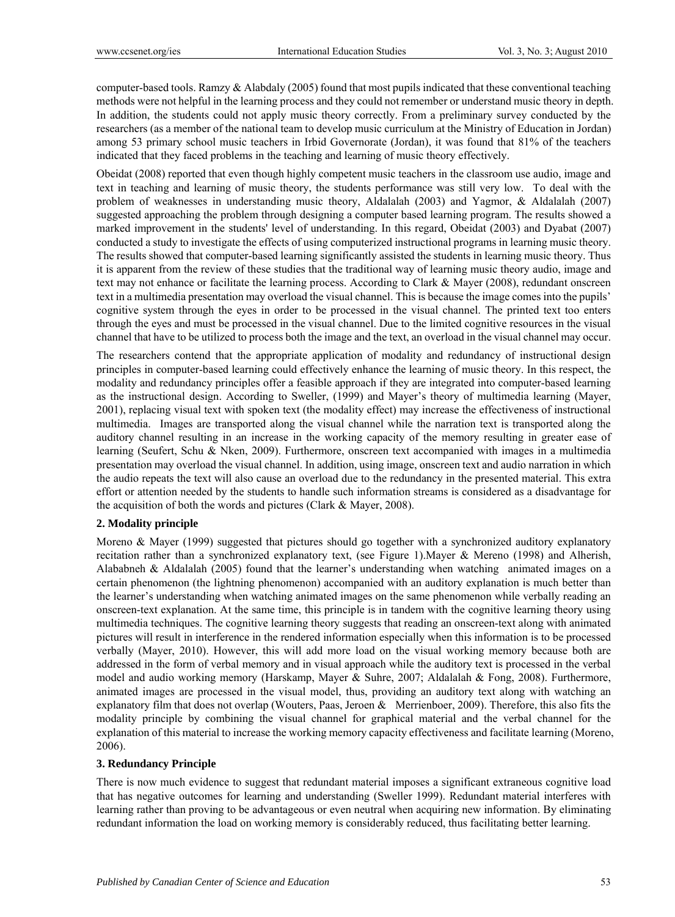computer-based tools. Ramzy & Alabdaly (2005) found that most pupils indicated that these conventional teaching methods were not helpful in the learning process and they could not remember or understand music theory in depth. In addition, the students could not apply music theory correctly. From a preliminary survey conducted by the researchers (as a member of the national team to develop music curriculum at the Ministry of Education in Jordan) among 53 primary school music teachers in Irbid Governorate (Jordan), it was found that 81% of the teachers indicated that they faced problems in the teaching and learning of music theory effectively.

Obeidat (2008) reported that even though highly competent music teachers in the classroom use audio, image and text in teaching and learning of music theory, the students performance was still very low. To deal with the problem of weaknesses in understanding music theory, Aldalalah (2003) and Yagmor, & Aldalalah (2007) suggested approaching the problem through designing a computer based learning program. The results showed a marked improvement in the students' level of understanding. In this regard, Obeidat (2003) and Dyabat (2007) conducted a study to investigate the effects of using computerized instructional programs in learning music theory. The results showed that computer-based learning significantly assisted the students in learning music theory. Thus it is apparent from the review of these studies that the traditional way of learning music theory audio, image and text may not enhance or facilitate the learning process. According to Clark & Mayer (2008), redundant onscreen text in a multimedia presentation may overload the visual channel. This is because the image comes into the pupils' cognitive system through the eyes in order to be processed in the visual channel. The printed text too enters through the eyes and must be processed in the visual channel. Due to the limited cognitive resources in the visual channel that have to be utilized to process both the image and the text, an overload in the visual channel may occur.

The researchers contend that the appropriate application of modality and redundancy of instructional design principles in computer-based learning could effectively enhance the learning of music theory. In this respect, the modality and redundancy principles offer a feasible approach if they are integrated into computer-based learning as the instructional design. According to Sweller, (1999) and Mayer's theory of multimedia learning (Mayer, 2001), replacing visual text with spoken text (the modality effect) may increase the effectiveness of instructional multimedia. Images are transported along the visual channel while the narration text is transported along the auditory channel resulting in an increase in the working capacity of the memory resulting in greater ease of learning (Seufert, Schu & Nken, 2009). Furthermore, onscreen text accompanied with images in a multimedia presentation may overload the visual channel. In addition, using image, onscreen text and audio narration in which the audio repeats the text will also cause an overload due to the redundancy in the presented material. This extra effort or attention needed by the students to handle such information streams is considered as a disadvantage for the acquisition of both the words and pictures (Clark & Mayer, 2008).

# **2. Modality principle**

Moreno & Mayer (1999) suggested that pictures should go together with a synchronized auditory explanatory recitation rather than a synchronized explanatory text, (see Figure 1).Mayer & Mereno (1998) and Alherish, Alababneh & Aldalalah (2005) found that the learner's understanding when watching animated images on a certain phenomenon (the lightning phenomenon) accompanied with an auditory explanation is much better than the learner's understanding when watching animated images on the same phenomenon while verbally reading an onscreen-text explanation. At the same time, this principle is in tandem with the cognitive learning theory using multimedia techniques. The cognitive learning theory suggests that reading an onscreen-text along with animated pictures will result in interference in the rendered information especially when this information is to be processed verbally (Mayer, 2010). However, this will add more load on the visual working memory because both are addressed in the form of verbal memory and in visual approach while the auditory text is processed in the verbal model and audio working memory (Harskamp, Mayer & Suhre, 2007; Aldalalah & Fong, 2008). Furthermore, animated images are processed in the visual model, thus, providing an auditory text along with watching an explanatory film that does not overlap (Wouters, Paas, Jeroen  $\&$  Merrienboer, 2009). Therefore, this also fits the modality principle by combining the visual channel for graphical material and the verbal channel for the explanation of this material to increase the working memory capacity effectiveness and facilitate learning (Moreno, 2006).

#### **3. Redundancy Principle**

There is now much evidence to suggest that redundant material imposes a significant extraneous cognitive load that has negative outcomes for learning and understanding (Sweller 1999). Redundant material interferes with learning rather than proving to be advantageous or even neutral when acquiring new information. By eliminating redundant information the load on working memory is considerably reduced, thus facilitating better learning.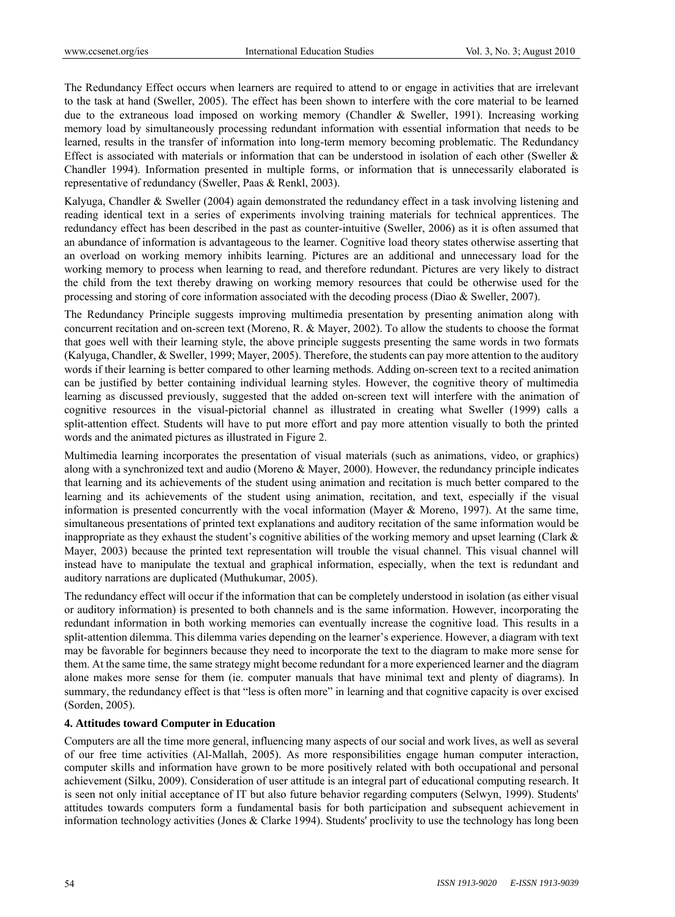The Redundancy Effect occurs when learners are required to attend to or engage in activities that are irrelevant to the task at hand (Sweller, 2005). The effect has been shown to interfere with the core material to be learned due to the extraneous load imposed on working memory (Chandler & Sweller, 1991). Increasing working memory load by simultaneously processing redundant information with essential information that needs to be learned, results in the transfer of information into long-term memory becoming problematic. The Redundancy Effect is associated with materials or information that can be understood in isolation of each other (Sweller  $\&$ Chandler 1994). Information presented in multiple forms, or information that is unnecessarily elaborated is representative of redundancy (Sweller, Paas & Renkl, 2003).

Kalyuga, Chandler & Sweller (2004) again demonstrated the redundancy effect in a task involving listening and reading identical text in a series of experiments involving training materials for technical apprentices. The redundancy effect has been described in the past as counter-intuitive (Sweller, 2006) as it is often assumed that an abundance of information is advantageous to the learner. Cognitive load theory states otherwise asserting that an overload on working memory inhibits learning. Pictures are an additional and unnecessary load for the working memory to process when learning to read, and therefore redundant. Pictures are very likely to distract the child from the text thereby drawing on working memory resources that could be otherwise used for the processing and storing of core information associated with the decoding process (Diao & Sweller, 2007).

The Redundancy Principle suggests improving multimedia presentation by presenting animation along with concurrent recitation and on-screen text (Moreno, R. & Mayer, 2002). To allow the students to choose the format that goes well with their learning style, the above principle suggests presenting the same words in two formats (Kalyuga, Chandler, & Sweller, 1999; Mayer, 2005). Therefore, the students can pay more attention to the auditory words if their learning is better compared to other learning methods. Adding on-screen text to a recited animation can be justified by better containing individual learning styles. However, the cognitive theory of multimedia learning as discussed previously, suggested that the added on-screen text will interfere with the animation of cognitive resources in the visual-pictorial channel as illustrated in creating what Sweller (1999) calls a split-attention effect. Students will have to put more effort and pay more attention visually to both the printed words and the animated pictures as illustrated in Figure 2.

Multimedia learning incorporates the presentation of visual materials (such as animations, video, or graphics) along with a synchronized text and audio (Moreno & Mayer, 2000). However, the redundancy principle indicates that learning and its achievements of the student using animation and recitation is much better compared to the learning and its achievements of the student using animation, recitation, and text, especially if the visual information is presented concurrently with the vocal information (Mayer & Moreno, 1997). At the same time, simultaneous presentations of printed text explanations and auditory recitation of the same information would be inappropriate as they exhaust the student's cognitive abilities of the working memory and upset learning (Clark & Mayer, 2003) because the printed text representation will trouble the visual channel. This visual channel will instead have to manipulate the textual and graphical information, especially, when the text is redundant and auditory narrations are duplicated (Muthukumar, 2005).

The redundancy effect will occur if the information that can be completely understood in isolation (as either visual or auditory information) is presented to both channels and is the same information. However, incorporating the redundant information in both working memories can eventually increase the cognitive load. This results in a split-attention dilemma. This dilemma varies depending on the learner's experience. However, a diagram with text may be favorable for beginners because they need to incorporate the text to the diagram to make more sense for them. At the same time, the same strategy might become redundant for a more experienced learner and the diagram alone makes more sense for them (ie. computer manuals that have minimal text and plenty of diagrams). In summary, the redundancy effect is that "less is often more" in learning and that cognitive capacity is over excised (Sorden, 2005).

## **4. Attitudes toward Computer in Education**

Computers are all the time more general, influencing many aspects of our social and work lives, as well as several of our free time activities (Al-Mallah, 2005). As more responsibilities engage human computer interaction, computer skills and information have grown to be more positively related with both occupational and personal achievement (Silku, 2009). Consideration of user attitude is an integral part of educational computing research. It is seen not only initial acceptance of IT but also future behavior regarding computers (Selwyn, 1999). Students' attitudes towards computers form a fundamental basis for both participation and subsequent achievement in information technology activities (Jones & Clarke 1994). Students' proclivity to use the technology has long been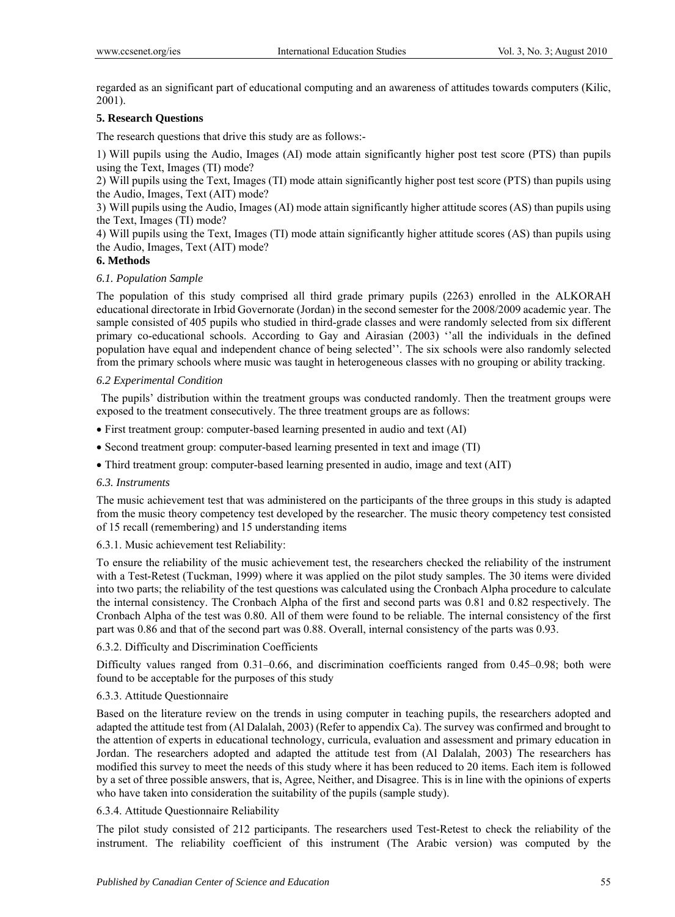regarded as an significant part of educational computing and an awareness of attitudes towards computers (Kilic, 2001).

# **5. Research Questions**

The research questions that drive this study are as follows:-

1) Will pupils using the Audio, Images (AI) mode attain significantly higher post test score (PTS) than pupils using the Text, Images (TI) mode?

2) Will pupils using the Text, Images (TI) mode attain significantly higher post test score (PTS) than pupils using the Audio, Images, Text (AIT) mode?

3) Will pupils using the Audio, Images (AI) mode attain significantly higher attitude scores (AS) than pupils using the Text, Images (TI) mode?

4) Will pupils using the Text, Images (TI) mode attain significantly higher attitude scores (AS) than pupils using the Audio, Images, Text (AIT) mode?

## **6. Methods**

#### *6.1. Population Sample*

The population of this study comprised all third grade primary pupils (2263) enrolled in the ALKORAH educational directorate in Irbid Governorate (Jordan) in the second semester for the 2008/2009 academic year. The sample consisted of 405 pupils who studied in third-grade classes and were randomly selected from six different primary co-educational schools. According to Gay and Airasian (2003) ''all the individuals in the defined population have equal and independent chance of being selected''. The six schools were also randomly selected from the primary schools where music was taught in heterogeneous classes with no grouping or ability tracking.

## *6.2 Experimental Condition*

 The pupils' distribution within the treatment groups was conducted randomly. Then the treatment groups were exposed to the treatment consecutively. The three treatment groups are as follows:

- First treatment group: computer-based learning presented in audio and text (AI)
- Second treatment group: computer-based learning presented in text and image (TI)
- Third treatment group: computer-based learning presented in audio, image and text (AIT)

#### *6.3. Instruments*

The music achievement test that was administered on the participants of the three groups in this study is adapted from the music theory competency test developed by the researcher. The music theory competency test consisted of 15 recall (remembering) and 15 understanding items

#### 6.3.1. Music achievement test Reliability:

To ensure the reliability of the music achievement test, the researchers checked the reliability of the instrument with a Test-Retest (Tuckman, 1999) where it was applied on the pilot study samples. The 30 items were divided into two parts; the reliability of the test questions was calculated using the Cronbach Alpha procedure to calculate the internal consistency. The Cronbach Alpha of the first and second parts was 0.81 and 0.82 respectively. The Cronbach Alpha of the test was 0.80. All of them were found to be reliable. The internal consistency of the first part was 0.86 and that of the second part was 0.88. Overall, internal consistency of the parts was 0.93.

#### 6.3.2. Difficulty and Discrimination Coefficients

Difficulty values ranged from 0.31–0.66, and discrimination coefficients ranged from 0.45–0.98; both were found to be acceptable for the purposes of this study

# 6.3.3. Attitude Questionnaire

Based on the literature review on the trends in using computer in teaching pupils, the researchers adopted and adapted the attitude test from (Al Dalalah, 2003) (Refer to appendix Ca). The survey was confirmed and brought to the attention of experts in educational technology, curricula, evaluation and assessment and primary education in Jordan. The researchers adopted and adapted the attitude test from (Al Dalalah, 2003) The researchers has modified this survey to meet the needs of this study where it has been reduced to 20 items. Each item is followed by a set of three possible answers, that is, Agree, Neither, and Disagree. This is in line with the opinions of experts who have taken into consideration the suitability of the pupils (sample study).

# 6.3.4. Attitude Questionnaire Reliability

The pilot study consisted of 212 participants. The researchers used Test-Retest to check the reliability of the instrument. The reliability coefficient of this instrument (The Arabic version) was computed by the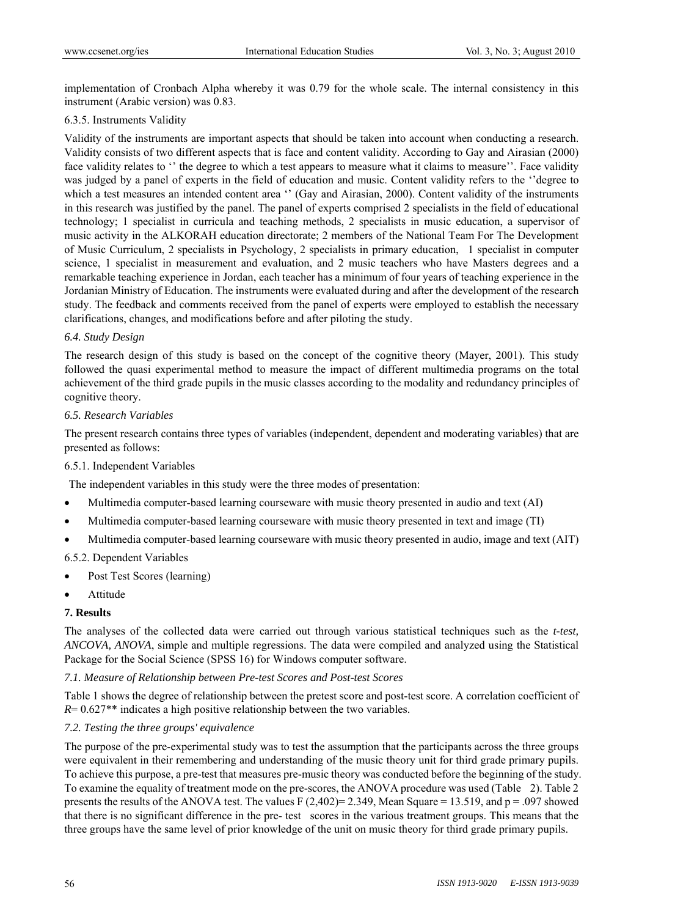implementation of Cronbach Alpha whereby it was 0.79 for the whole scale. The internal consistency in this instrument (Arabic version) was 0.83.

# 6.3.5. Instruments Validity

Validity of the instruments are important aspects that should be taken into account when conducting a research. Validity consists of two different aspects that is face and content validity. According to Gay and Airasian (2000) face validity relates to  $\cdot$  the degree to which a test appears to measure what it claims to measure''. Face validity was judged by a panel of experts in the field of education and music. Content validity refers to the ''degree to which a test measures an intended content area " (Gay and Airasian, 2000). Content validity of the instruments in this research was justified by the panel. The panel of experts comprised 2 specialists in the field of educational technology; 1 specialist in curricula and teaching methods, 2 specialists in music education, a supervisor of music activity in the ALKORAH education directorate; 2 members of the National Team For The Development of Music Curriculum, 2 specialists in Psychology, 2 specialists in primary education, 1 specialist in computer science, 1 specialist in measurement and evaluation, and 2 music teachers who have Masters degrees and a remarkable teaching experience in Jordan, each teacher has a minimum of four years of teaching experience in the Jordanian Ministry of Education. The instruments were evaluated during and after the development of the research study. The feedback and comments received from the panel of experts were employed to establish the necessary clarifications, changes, and modifications before and after piloting the study.

# *6.4. Study Design*

The research design of this study is based on the concept of the cognitive theory (Mayer, 2001). This study followed the quasi experimental method to measure the impact of different multimedia programs on the total achievement of the third grade pupils in the music classes according to the modality and redundancy principles of cognitive theory.

# *6.5. Research Variables*

The present research contains three types of variables (independent, dependent and moderating variables) that are presented as follows:

## 6.5.1. Independent Variables

The independent variables in this study were the three modes of presentation:

- Multimedia computer-based learning courseware with music theory presented in audio and text (AI)
- Multimedia computer-based learning courseware with music theory presented in text and image (TI)
- Multimedia computer-based learning courseware with music theory presented in audio, image and text (AIT)

## 6.5.2. Dependent Variables

- Post Test Scores (learning)
- Attitude

## **7. Results**

The analyses of the collected data were carried out through various statistical techniques such as the *t-test, ANCOVA, ANOVA*, simple and multiple regressions. The data were compiled and analyzed using the Statistical Package for the Social Science (SPSS 16) for Windows computer software.

## *7.1. Measure of Relationship between Pre-test Scores and Post-test Scores*

Table 1 shows the degree of relationship between the pretest score and post-test score. A correlation coefficient of *R*= 0.627\*\* indicates a high positive relationship between the two variables.

# *7.2. Testing the three groups' equivalence*

The purpose of the pre-experimental study was to test the assumption that the participants across the three groups were equivalent in their remembering and understanding of the music theory unit for third grade primary pupils. To achieve this purpose, a pre-test that measures pre-music theory was conducted before the beginning of the study. To examine the equality of treatment mode on the pre-scores, the ANOVA procedure was used (Table 2). Table 2 presents the results of the ANOVA test. The values F  $(2,402) = 2.349$ , Mean Square = 13.519, and p = .097 showed that there is no significant difference in the pre- test scores in the various treatment groups. This means that the three groups have the same level of prior knowledge of the unit on music theory for third grade primary pupils.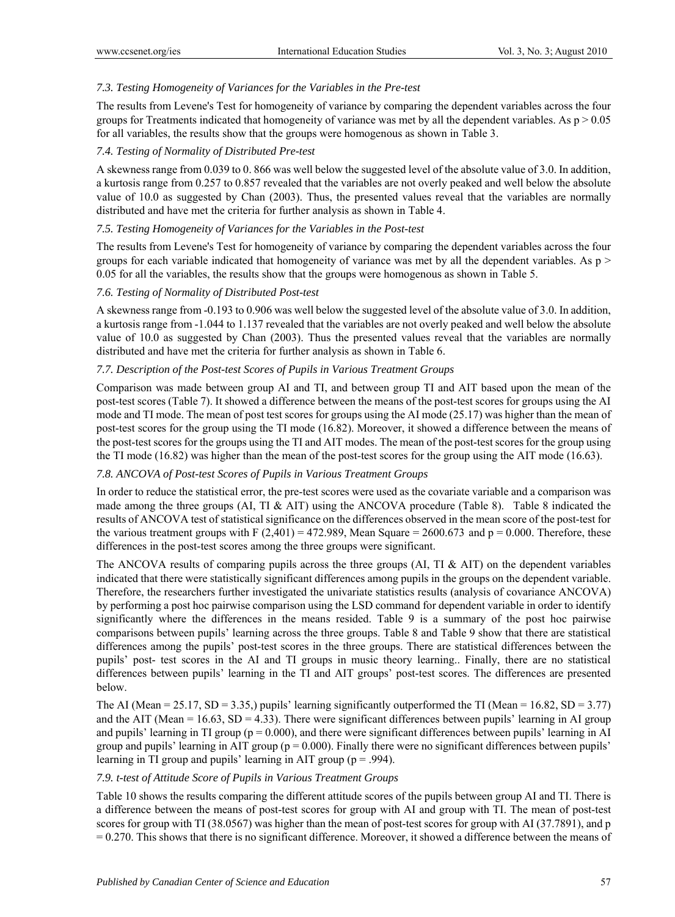# *7.3. Testing Homogeneity of Variances for the Variables in the Pre-test*

The results from Levene's Test for homogeneity of variance by comparing the dependent variables across the four groups for Treatments indicated that homogeneity of variance was met by all the dependent variables. As  $p > 0.05$ for all variables, the results show that the groups were homogenous as shown in Table 3.

## *7.4. Testing of Normality of Distributed Pre-test*

A skewness range from 0.039 to 0. 866 was well below the suggested level of the absolute value of 3.0. In addition, a kurtosis range from 0.257 to 0.857 revealed that the variables are not overly peaked and well below the absolute value of 10.0 as suggested by Chan (2003). Thus, the presented values reveal that the variables are normally distributed and have met the criteria for further analysis as shown in Table 4.

#### *7.5. Testing Homogeneity of Variances for the Variables in the Post-test*

The results from Levene's Test for homogeneity of variance by comparing the dependent variables across the four groups for each variable indicated that homogeneity of variance was met by all the dependent variables. As  $p$  > 0.05 for all the variables, the results show that the groups were homogenous as shown in Table 5.

#### *7.6. Testing of Normality of Distributed Post-test*

A skewness range from -0.193 to 0.906 was well below the suggested level of the absolute value of 3.0. In addition, a kurtosis range from -1.044 to 1.137 revealed that the variables are not overly peaked and well below the absolute value of 10.0 as suggested by Chan (2003). Thus the presented values reveal that the variables are normally distributed and have met the criteria for further analysis as shown in Table 6.

## *7.7. Description of the Post-test Scores of Pupils in Various Treatment Groups*

Comparison was made between group AI and TI, and between group TI and AIT based upon the mean of the post-test scores (Table 7). It showed a difference between the means of the post-test scores for groups using the AI mode and TI mode. The mean of post test scores for groups using the AI mode (25.17) was higher than the mean of post-test scores for the group using the TI mode (16.82). Moreover, it showed a difference between the means of the post-test scores for the groups using the TI and AIT modes. The mean of the post-test scores for the group using the TI mode (16.82) was higher than the mean of the post-test scores for the group using the AIT mode (16.63).

## *7.8. ANCOVA of Post-test Scores of Pupils in Various Treatment Groups*

In order to reduce the statistical error, the pre-test scores were used as the covariate variable and a comparison was made among the three groups (AI, TI & AIT) using the ANCOVA procedure (Table 8). Table 8 indicated the results of ANCOVA test of statistical significance on the differences observed in the mean score of the post-test for the various treatment groups with F  $(2,401) = 472.989$ , Mean Square = 2600.673 and p = 0.000. Therefore, these differences in the post-test scores among the three groups were significant.

The ANCOVA results of comparing pupils across the three groups  $(AI, TI & AIT)$  on the dependent variables indicated that there were statistically significant differences among pupils in the groups on the dependent variable. Therefore, the researchers further investigated the univariate statistics results (analysis of covariance ANCOVA) by performing a post hoc pairwise comparison using the LSD command for dependent variable in order to identify significantly where the differences in the means resided. Table 9 is a summary of the post hoc pairwise comparisons between pupils' learning across the three groups. Table 8 and Table 9 show that there are statistical differences among the pupils' post-test scores in the three groups. There are statistical differences between the pupils' post- test scores in the AI and TI groups in music theory learning.. Finally, there are no statistical differences between pupils' learning in the TI and AIT groups' post-test scores. The differences are presented below.

The AI (Mean = 25.17, SD = 3.35,) pupils' learning significantly outperformed the TI (Mean = 16.82, SD = 3.77) and the AIT (Mean = 16.63,  $SD = 4.33$ ). There were significant differences between pupils' learning in AI group and pupils' learning in TI group ( $p = 0.000$ ), and there were significant differences between pupils' learning in AI group and pupils' learning in AIT group ( $p = 0.000$ ). Finally there were no significant differences between pupils' learning in TI group and pupils' learning in AIT group (p = .994).

#### *7.9. t-test of Attitude Score of Pupils in Various Treatment Groups*

Table 10 shows the results comparing the different attitude scores of the pupils between group AI and TI. There is a difference between the means of post-test scores for group with AI and group with TI. The mean of post-test scores for group with TI (38.0567) was higher than the mean of post-test scores for group with AI (37.7891), and p  $= 0.270$ . This shows that there is no significant difference. Moreover, it showed a difference between the means of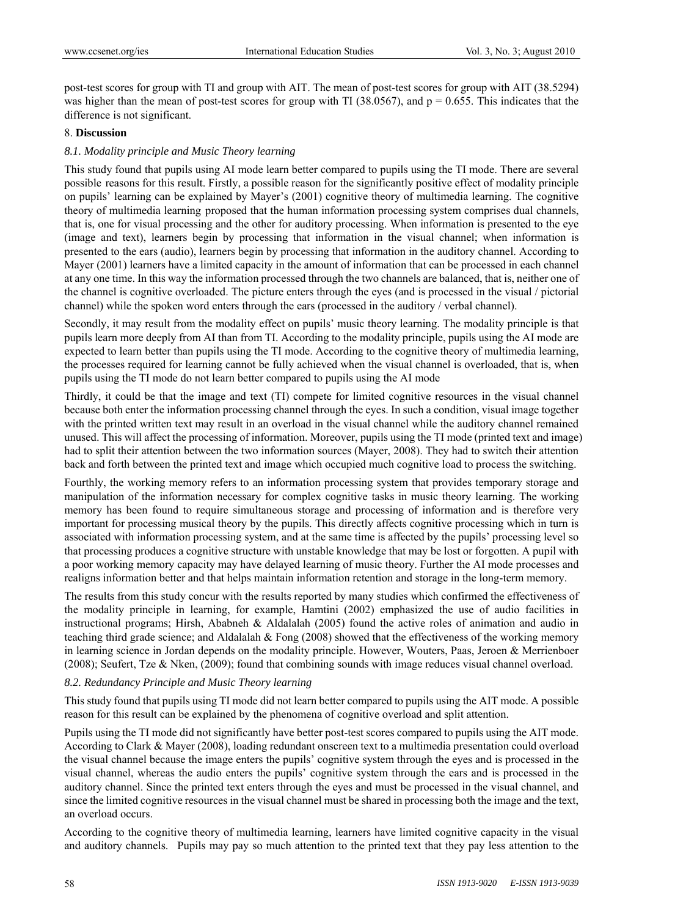post-test scores for group with TI and group with AIT. The mean of post-test scores for group with AIT (38.5294) was higher than the mean of post-test scores for group with TI (38.0567), and  $p = 0.655$ . This indicates that the difference is not significant.

# 8. **Discussion**

# *8.1. Modality principle and Music Theory learning*

This study found that pupils using AI mode learn better compared to pupils using the TI mode. There are several possible reasons for this result. Firstly, a possible reason for the significantly positive effect of modality principle on pupils' learning can be explained by Mayer's (2001) cognitive theory of multimedia learning. The cognitive theory of multimedia learning proposed that the human information processing system comprises dual channels, that is, one for visual processing and the other for auditory processing. When information is presented to the eye (image and text), learners begin by processing that information in the visual channel; when information is presented to the ears (audio), learners begin by processing that information in the auditory channel. According to Mayer (2001) learners have a limited capacity in the amount of information that can be processed in each channel at any one time. In this way the information processed through the two channels are balanced, that is, neither one of the channel is cognitive overloaded. The picture enters through the eyes (and is processed in the visual / pictorial channel) while the spoken word enters through the ears (processed in the auditory / verbal channel).

Secondly, it may result from the modality effect on pupils' music theory learning. The modality principle is that pupils learn more deeply from AI than from TI. According to the modality principle, pupils using the AI mode are expected to learn better than pupils using the TI mode. According to the cognitive theory of multimedia learning, the processes required for learning cannot be fully achieved when the visual channel is overloaded, that is, when pupils using the TI mode do not learn better compared to pupils using the AI mode

Thirdly, it could be that the image and text (TI) compete for limited cognitive resources in the visual channel because both enter the information processing channel through the eyes. In such a condition, visual image together with the printed written text may result in an overload in the visual channel while the auditory channel remained unused. This will affect the processing of information. Moreover, pupils using the TI mode (printed text and image) had to split their attention between the two information sources (Mayer, 2008). They had to switch their attention back and forth between the printed text and image which occupied much cognitive load to process the switching.

Fourthly, the working memory refers to an information processing system that provides temporary storage and manipulation of the information necessary for complex cognitive tasks in music theory learning. The working memory has been found to require simultaneous storage and processing of information and is therefore very important for processing musical theory by the pupils. This directly affects cognitive processing which in turn is associated with information processing system, and at the same time is affected by the pupils' processing level so that processing produces a cognitive structure with unstable knowledge that may be lost or forgotten. A pupil with a poor working memory capacity may have delayed learning of music theory. Further the AI mode processes and realigns information better and that helps maintain information retention and storage in the long-term memory.

The results from this study concur with the results reported by many studies which confirmed the effectiveness of the modality principle in learning, for example, Hamtini (2002) emphasized the use of audio facilities in instructional programs; Hirsh, Ababneh & Aldalalah (2005) found the active roles of animation and audio in teaching third grade science; and Aldalalah & Fong (2008) showed that the effectiveness of the working memory in learning science in Jordan depends on the modality principle. However, Wouters, Paas, Jeroen & Merrienboer (2008); Seufert, Tze & Nken, (2009); found that combining sounds with image reduces visual channel overload.

## *8.2. Redundancy Principle and Music Theory learning*

This study found that pupils using TI mode did not learn better compared to pupils using the AIT mode. A possible reason for this result can be explained by the phenomena of cognitive overload and split attention.

Pupils using the TI mode did not significantly have better post-test scores compared to pupils using the AIT mode. According to Clark & Mayer (2008), loading redundant onscreen text to a multimedia presentation could overload the visual channel because the image enters the pupils' cognitive system through the eyes and is processed in the visual channel, whereas the audio enters the pupils' cognitive system through the ears and is processed in the auditory channel. Since the printed text enters through the eyes and must be processed in the visual channel, and since the limited cognitive resources in the visual channel must be shared in processing both the image and the text, an overload occurs.

According to the cognitive theory of multimedia learning, learners have limited cognitive capacity in the visual and auditory channels. Pupils may pay so much attention to the printed text that they pay less attention to the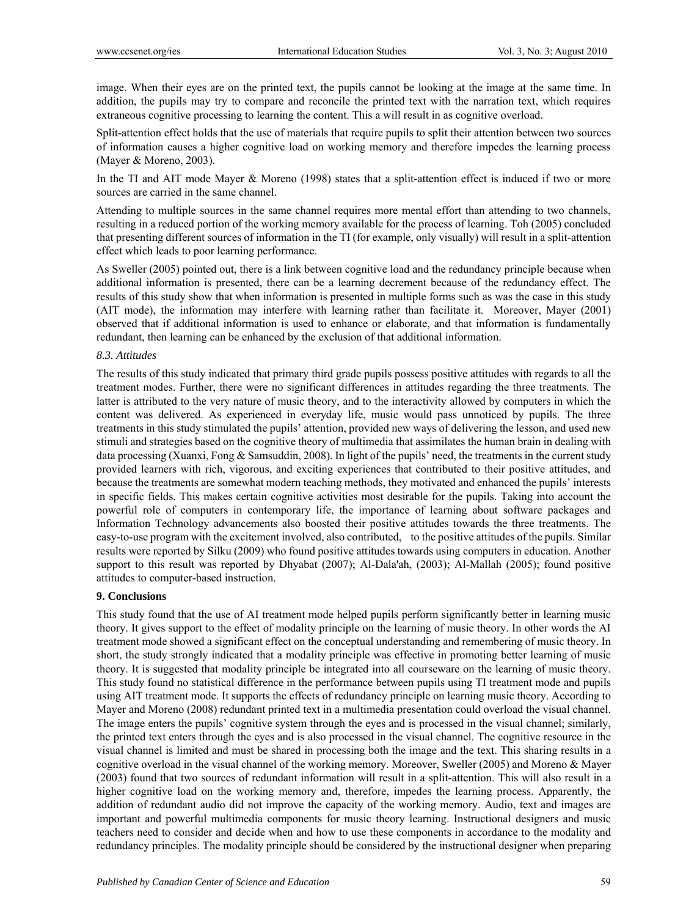image. When their eyes are on the printed text, the pupils cannot be looking at the image at the same time. In addition, the pupils may try to compare and reconcile the printed text with the narration text, which requires extraneous cognitive processing to learning the content. This a will result in as cognitive overload.

Split-attention effect holds that the use of materials that require pupils to split their attention between two sources of information causes a higher cognitive load on working memory and therefore impedes the learning process (Mayer & Moreno, 2003).

In the TI and AIT mode Mayer & Moreno (1998) states that a split-attention effect is induced if two or more sources are carried in the same channel.

Attending to multiple sources in the same channel requires more mental effort than attending to two channels, resulting in a reduced portion of the working memory available for the process of learning. Toh (2005) concluded that presenting different sources of information in the TI (for example, only visually) will result in a split-attention effect which leads to poor learning performance.

As Sweller (2005) pointed out, there is a link between cognitive load and the redundancy principle because when additional information is presented, there can be a learning decrement because of the redundancy effect. The results of this study show that when information is presented in multiple forms such as was the case in this study (AIT mode), the information may interfere with learning rather than facilitate it. Moreover, Mayer (2001) observed that if additional information is used to enhance or elaborate, and that information is fundamentally redundant, then learning can be enhanced by the exclusion of that additional information.

#### *8.3. Attitudes*

The results of this study indicated that primary third grade pupils possess positive attitudes with regards to all the treatment modes. Further, there were no significant differences in attitudes regarding the three treatments. The latter is attributed to the very nature of music theory, and to the interactivity allowed by computers in which the content was delivered. As experienced in everyday life, music would pass unnoticed by pupils. The three treatments in this study stimulated the pupils' attention, provided new ways of delivering the lesson, and used new stimuli and strategies based on the cognitive theory of multimedia that assimilates the human brain in dealing with data processing (Xuanxi, Fong & Samsuddin, 2008). In light of the pupils' need, the treatments in the current study provided learners with rich, vigorous, and exciting experiences that contributed to their positive attitudes, and because the treatments are somewhat modern teaching methods, they motivated and enhanced the pupils' interests in specific fields. This makes certain cognitive activities most desirable for the pupils. Taking into account the powerful role of computers in contemporary life, the importance of learning about software packages and Information Technology advancements also boosted their positive attitudes towards the three treatments. The easy-to-use program with the excitement involved, also contributed, to the positive attitudes of the pupils. Similar results were reported by Silku (2009) who found positive attitudes towards using computers in education. Another support to this result was reported by Dhyabat (2007); Al-Dala'ah, (2003); Al-Mallah (2005); found positive attitudes to computer-based instruction.

#### **9. Conclusions**

This study found that the use of AI treatment mode helped pupils perform significantly better in learning music theory. It gives support to the effect of modality principle on the learning of music theory. In other words the AI treatment mode showed a significant effect on the conceptual understanding and remembering of music theory. In short, the study strongly indicated that a modality principle was effective in promoting better learning of music theory. It is suggested that modality principle be integrated into all courseware on the learning of music theory. This study found no statistical difference in the performance between pupils using TI treatment mode and pupils using AIT treatment mode. It supports the effects of redundancy principle on learning music theory. According to Mayer and Moreno (2008) redundant printed text in a multimedia presentation could overload the visual channel. The image enters the pupils' cognitive system through the eyes and is processed in the visual channel; similarly, the printed text enters through the eyes and is also processed in the visual channel. The cognitive resource in the visual channel is limited and must be shared in processing both the image and the text. This sharing results in a cognitive overload in the visual channel of the working memory. Moreover, Sweller (2005) and Moreno & Mayer (2003) found that two sources of redundant information will result in a split-attention. This will also result in a higher cognitive load on the working memory and, therefore, impedes the learning process. Apparently, the addition of redundant audio did not improve the capacity of the working memory. Audio, text and images are important and powerful multimedia components for music theory learning. Instructional designers and music teachers need to consider and decide when and how to use these components in accordance to the modality and redundancy principles. The modality principle should be considered by the instructional designer when preparing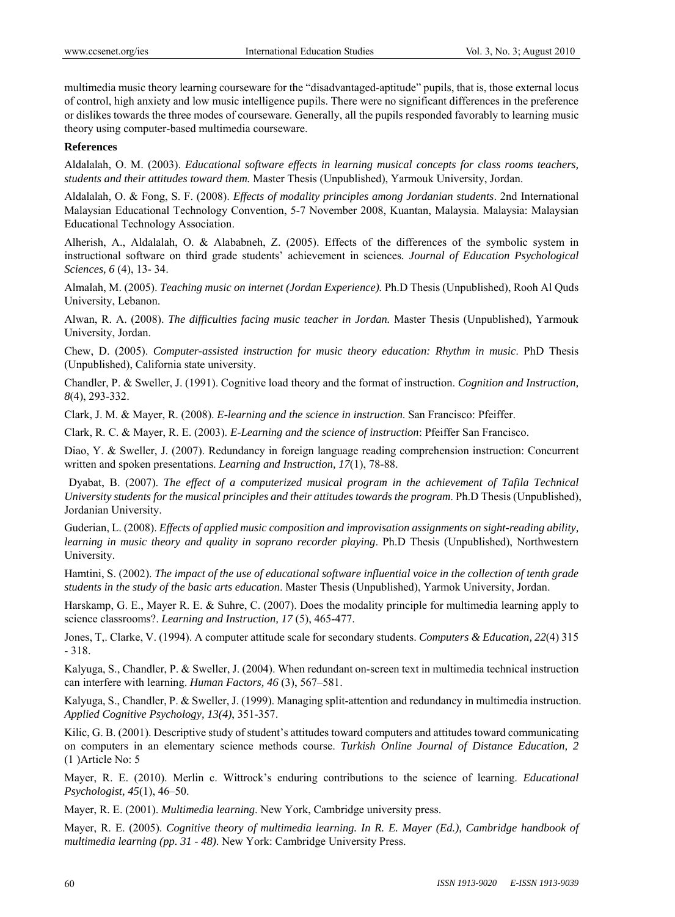multimedia music theory learning courseware for the "disadvantaged-aptitude" pupils, that is, those external locus of control, high anxiety and low music intelligence pupils. There were no significant differences in the preference or dislikes towards the three modes of courseware. Generally, all the pupils responded favorably to learning music theory using computer-based multimedia courseware.

#### **References**

Aldalalah, O. M. (2003). *Educational software effects in learning musical concepts for class rooms teachers, students and their attitudes toward them.* Master Thesis (Unpublished), Yarmouk University, Jordan.

Aldalalah, O. & Fong, S. F. (2008). *Effects of modality principles among Jordanian students*. 2nd International Malaysian Educational Technology Convention, 5-7 November 2008, Kuantan, Malaysia. Malaysia: Malaysian Educational Technology Association.

Alherish, A., Aldalalah, O. & Alababneh, Z. (2005). Effects of the differences of the symbolic system in instructional software on third grade students' achievement in sciences*. Journal of Education Psychological Sciences, 6* (4), 13- 34.

Almalah, M. (2005). *Teaching music on internet (Jordan Experience).* Ph.D Thesis (Unpublished), Rooh Al Quds University, Lebanon.

Alwan, R. A. (2008). *The difficulties facing music teacher in Jordan.* Master Thesis (Unpublished), Yarmouk University, Jordan.

Chew, D. (2005). *Computer-assisted instruction for music theory education: Rhythm in music*. PhD Thesis (Unpublished), California state university.

Chandler, P. & Sweller, J. (1991). Cognitive load theory and the format of instruction. *Cognition and Instruction, 8*(4), 293-332.

Clark, J. M. & Mayer, R. (2008). *E-learning and the science in instruction*. San Francisco: Pfeiffer.

Clark, R. C. & Mayer, R. E. (2003). *E-Learning and the science of instruction*: Pfeiffer San Francisco.

Diao, Y. & Sweller, J. (2007). Redundancy in foreign language reading comprehension instruction: Concurrent written and spoken presentations. *Learning and Instruction, 17*(1), 78-88.

 Dyabat, B. (2007). *The effect of a computerized musical program in the achievement of Tafila Technical University students for the musical principles and their attitudes towards the program*. Ph.D Thesis (Unpublished), Jordanian University.

Guderian, L. (2008). *Effects of applied music composition and improvisation assignments on sight-reading ability, learning in music theory and quality in soprano recorder playing*. Ph.D Thesis (Unpublished), Northwestern University.

Hamtini, S. (2002). *The impact of the use of educational software influential voice in the collection of tenth grade students in the study of the basic arts education*. Master Thesis (Unpublished), Yarmok University, Jordan.

Harskamp, G. E., Mayer R. E. & Suhre, C. (2007). Does the modality principle for multimedia learning apply to science classrooms?. *Learning and Instruction, 17* (5), 465-477.

Jones, T,. Clarke, V. (1994). A computer attitude scale for secondary students. *Computers & Education, 22*(4) 315 - 318.

Kalyuga, S., Chandler, P. & Sweller, J. (2004). When redundant on-screen text in multimedia technical instruction can interfere with learning. *Human Factors, 46* (3), 567–581.

Kalyuga, S., Chandler, P. & Sweller, J. (1999). Managing split-attention and redundancy in multimedia instruction. *Applied Cognitive Psychology, 13(4)*, 351-357.

Kilic, G. B. (2001). Descriptive study of student's attitudes toward computers and attitudes toward communicating on computers in an elementary science methods course. *Turkish Online Journal of Distance Education, 2* (1 )Article No: 5

Mayer, R. E. (2010). Merlin c. Wittrock's enduring contributions to the science of learning. *Educational Psychologist, 45*(1), 46–50.

Mayer, R. E. (2001). *Multimedia learning*. New York, Cambridge university press.

Mayer, R. E. (2005). *Cognitive theory of multimedia learning. In R. E. Mayer (Ed.), Cambridge handbook of multimedia learning (pp. 31 - 48)*. New York: Cambridge University Press.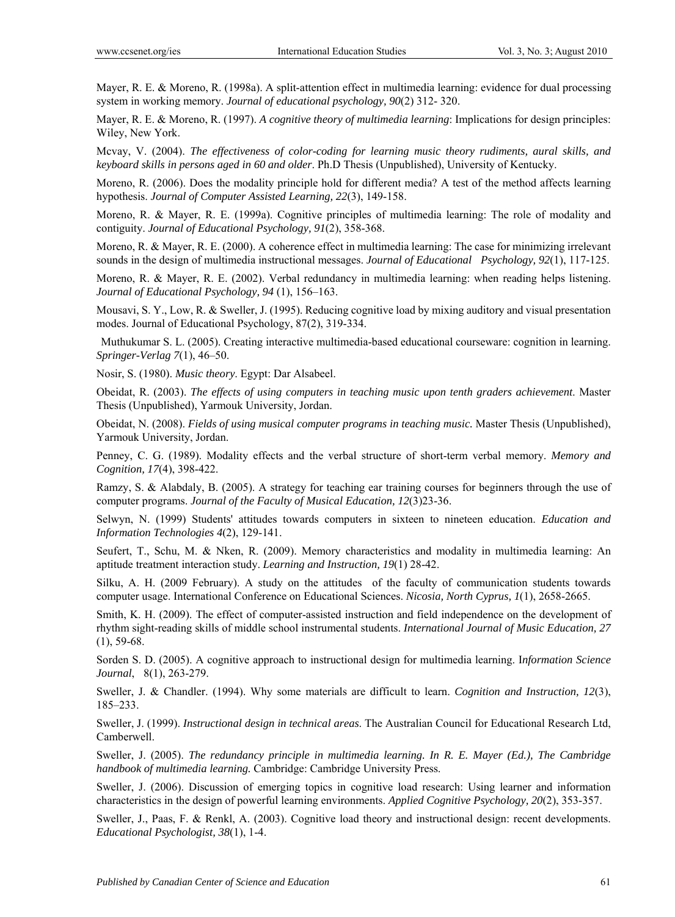Mayer, R. E. & Moreno, R. (1998a). A split-attention effect in multimedia learning: evidence for dual processing system in working memory. *Journal of educational psychology, 90*(2) 312- 320.

Mayer, R. E. & Moreno, R. (1997). *A cognitive theory of multimedia learning*: Implications for design principles: Wiley, New York.

Mcvay, V. (2004). *The effectiveness of color-coding for learning music theory rudiments, aural skills, and keyboard skills in persons aged in 60 and older*. Ph.D Thesis (Unpublished), University of Kentucky.

Moreno, R. (2006). Does the modality principle hold for different media? A test of the method affects learning hypothesis. *Journal of Computer Assisted Learning, 22*(3), 149-158.

Moreno, R. & Mayer, R. E. (1999a). Cognitive principles of multimedia learning: The role of modality and contiguity. *Journal of Educational Psychology, 91*(2), 358-368.

Moreno, R. & Mayer, R. E. (2000). A coherence effect in multimedia learning: The case for minimizing irrelevant sounds in the design of multimedia instructional messages. *Journal of Educational Psychology, 92*(1), 117-125.

Moreno, R. & Mayer, R. E. (2002). Verbal redundancy in multimedia learning: when reading helps listening. *Journal of Educational Psychology, 94* (1), 156–163.

Mousavi, S. Y., Low, R. & Sweller, J. (1995). Reducing cognitive load by mixing auditory and visual presentation modes. Journal of Educational Psychology, 87(2), 319-334.

 Muthukumar S. L. (2005). Creating interactive multimedia-based educational courseware: cognition in learning. *Springer-Verlag 7*(1), 46–50.

Nosir, S. (1980). *Music theory*. Egypt: Dar Alsabeel.

Obeidat, R. (2003). *The effects of using computers in teaching music upon tenth graders achievement*. Master Thesis (Unpublished), Yarmouk University, Jordan.

Obeidat, N. (2008). *Fields of using musical computer programs in teaching music.* Master Thesis (Unpublished), Yarmouk University, Jordan.

Penney, C. G. (1989). Modality effects and the verbal structure of short-term verbal memory. *Memory and Cognition, 17*(4), 398-422.

Ramzy, S. & Alabdaly, B. (2005). A strategy for teaching ear training courses for beginners through the use of computer programs. *Journal of the Faculty of Musical Education, 12*(3)23-36.

Selwyn, N. (1999) Students' attitudes towards computers in sixteen to nineteen education. *Education and Information Technologies 4*(2), 129-141.

Seufert, T., Schu, M. & Nken, R. (2009). Memory characteristics and modality in multimedia learning: An aptitude treatment interaction study. *Learning and Instruction, 19*(1) 28-42.

Silku, A. H. (2009 February). A study on the attitudes of the faculty of communication students towards computer usage. International Conference on Educational Sciences. *Nicosia, North Cyprus, 1*(1), 2658-2665.

Smith, K. H. (2009). The effect of computer-assisted instruction and field independence on the development of rhythm sight-reading skills of middle school instrumental students. *International Journal of Music Education, 27*  $(1), 59-68.$ 

Sorden S. D. (2005). A cognitive approach to instructional design for multimedia learning. I*nformation Science Journal*, 8(1), 263-279.

Sweller, J. & Chandler. (1994). Why some materials are difficult to learn. *Cognition and Instruction, 12*(3), 185–233.

Sweller, J. (1999). *Instructional design in technical areas*. The Australian Council for Educational Research Ltd, Camberwell.

Sweller, J. (2005). *The redundancy principle in multimedia learning. In R. E. Mayer (Ed.), The Cambridge handbook of multimedia learning.* Cambridge: Cambridge University Press.

Sweller, J. (2006). Discussion of emerging topics in cognitive load research: Using learner and information characteristics in the design of powerful learning environments. *Applied Cognitive Psychology, 20*(2), 353-357.

Sweller, J., Paas, F. & Renkl, A. (2003). Cognitive load theory and instructional design: recent developments. *Educational Psychologist, 38*(1), 1-4.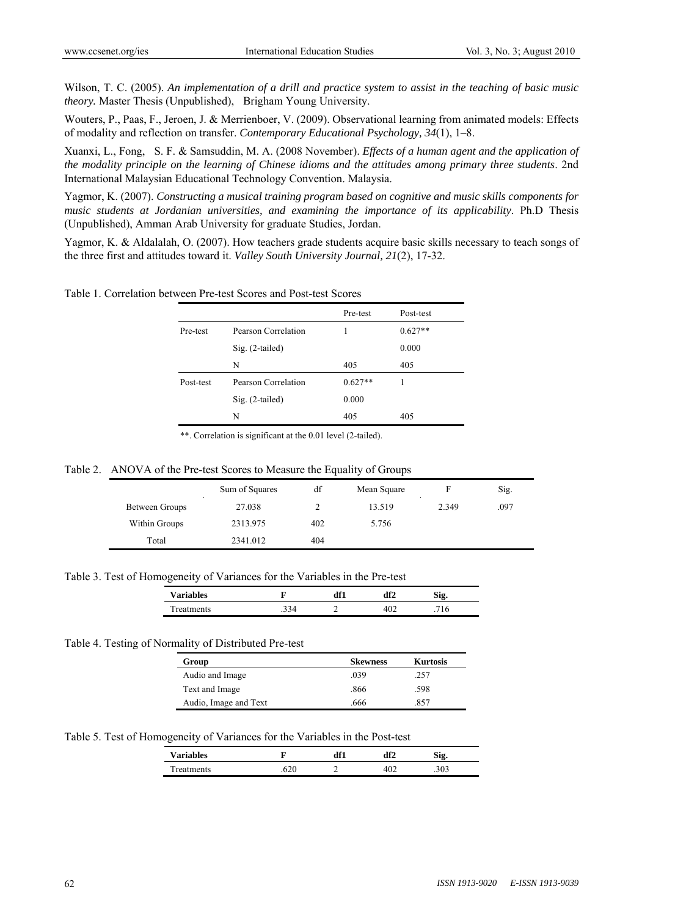Wilson, T. C. (2005). *An implementation of a drill and practice system to assist in the teaching of basic music theory.* Master Thesis (Unpublished), Brigham Young University.

Wouters, P., Paas, F., Jeroen, J. & Merrienboer, V. (2009). Observational learning from animated models: Effects of modality and reflection on transfer. *Contemporary Educational Psychology, 34*(1), 1–8.

Xuanxi, L., Fong, S. F. & Samsuddin, M. A. (2008 November). *Effects of a human agent and the application of the modality principle on the learning of Chinese idioms and the attitudes among primary three students*. 2nd International Malaysian Educational Technology Convention. Malaysia.

Yagmor, K. (2007). *Constructing a musical training program based on cognitive and music skills components for music students at Jordanian universities, and examining the importance of its applicability*. Ph.D Thesis (Unpublished), Amman Arab University for graduate Studies, Jordan.

Yagmor, K. & Aldalalah, O. (2007). How teachers grade students acquire basic skills necessary to teach songs of the three first and attitudes toward it. *Valley South University Journal, 21*(2), 17-32.

#### Table 1. Correlation between Pre-test Scores and Post-test Scores

|           |                     | Pre-test  | Post-test |  |
|-----------|---------------------|-----------|-----------|--|
| Pre-test  | Pearson Correlation |           | $0.627**$ |  |
|           | $Sig. (2-tailed)$   |           | 0.000     |  |
|           | N                   | 405       | 405       |  |
| Post-test | Pearson Correlation | $0.627**$ |           |  |
|           | $Sig. (2-tailed)$   | 0.000     |           |  |
|           | N                   | 405       | 405       |  |

\*\*. Correlation is significant at the 0.01 level (2-tailed).

#### Table 2. ANOVA of the Pre-test Scores to Measure the Equality of Groups

|                | Sum of Squares | df  | Mean Square<br>- 4 |       | Sig. |
|----------------|----------------|-----|--------------------|-------|------|
| Between Groups | 27.038         |     | 13.519             | 2.349 | .097 |
| Within Groups  | 2313.975       | 402 | 5.756              |       |      |
| Total          | 2341.012       | 404 |                    |       |      |

Table 3. Test of Homogeneity of Variances for the Variables in the Pre-test

| <b>Variables</b> |                      | 161 | 3.00 | . . |  |
|------------------|----------------------|-----|------|-----|--|
|                  | $\cdot$ $\check{\,}$ |     |      | 1 U |  |

#### Table 4. Testing of Normality of Distributed Pre-test

| Group                 | <b>Skewness</b> | <b>Kurtosis</b> |
|-----------------------|-----------------|-----------------|
| Audio and Image       | .039            | .257            |
| Text and Image        | .866            | .598            |
| Audio, Image and Text | .666            | 857             |

#### Table 5. Test of Homogeneity of Variances for the Variables in the Post-test

| <b>Variables</b> |     | df1 | df2 | Sig                  |  |
|------------------|-----|-----|-----|----------------------|--|
| reatments        | 620 |     | 402 | $n^{\alpha}$<br>.JU. |  |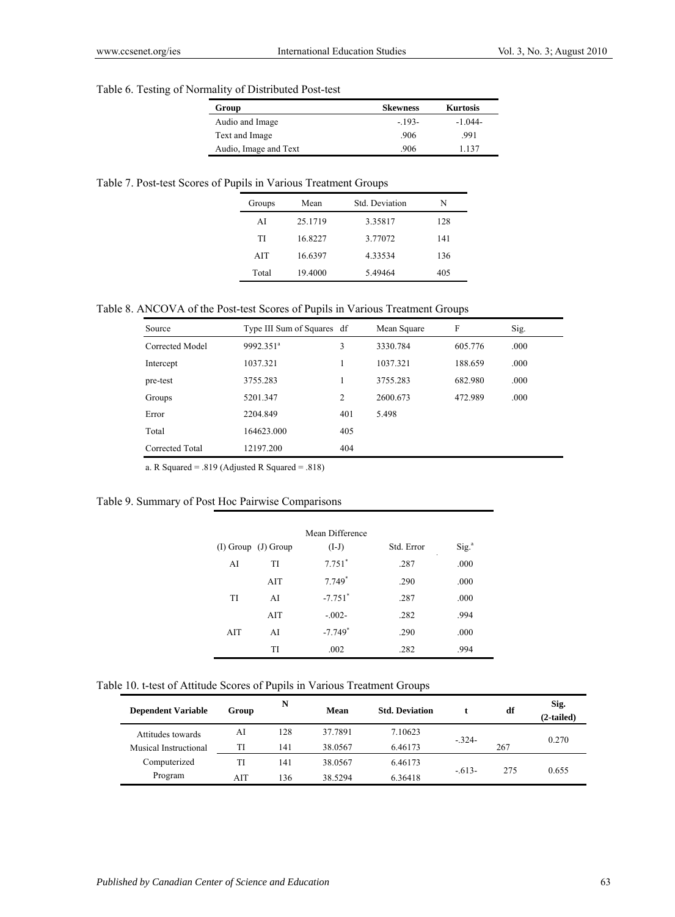# Table 6. Testing of Normality of Distributed Post-test

| Group                 | <b>Skewness</b> | <b>Kurtosis</b> |
|-----------------------|-----------------|-----------------|
| Audio and Image       | $-193-$         | $-1.044-$       |
| Text and Image        | .906            | .991            |
| Audio, Image and Text | .906            | 1 1 3 7         |

# Table 7. Post-test Scores of Pupils in Various Treatment Groups

| Groups | Mean    | Std. Deviation | N   |
|--------|---------|----------------|-----|
| ΑI     | 25.1719 | 3.35817        | 128 |
| TI     | 16.8227 | 3.77072        | 141 |
| AIT    | 16.6397 | 4.33534        | 136 |
| Total  | 19.4000 | 5.49464        | 405 |

# Table 8. ANCOVA of the Post-test Scores of Pupils in Various Treatment Groups

| Source          | Type III Sum of Squares df |     | Mean Square | F       | Sig. |
|-----------------|----------------------------|-----|-------------|---------|------|
| Corrected Model | 9992.351 <sup>a</sup>      | 3   | 3330.784    | 605.776 | .000 |
| Intercept       | 1037.321                   |     | 1037.321    | 188.659 | .000 |
| pre-test        | 3755.283                   |     | 3755.283    | 682.980 | .000 |
| Groups          | 5201.347                   | 2   | 2600.673    | 472.989 | .000 |
| Error           | 2204.849                   | 401 | 5.498       |         |      |
| Total           | 164623.000                 | 405 |             |         |      |
| Corrected Total | 12197.200                  | 404 |             |         |      |

a. R Squared = .819 (Adjusted R Squared = .818)

# Table 9. Summary of Post Hoc Pairwise Comparisons

|     | $(I)$ Group $(J)$ Group | Mean Difference<br>$(I-J)$ | Std. Error | $Sig^a$ |
|-----|-------------------------|----------------------------|------------|---------|
| AI  | TI                      | $7.751*$                   | .287       | .000    |
|     | AIT                     | $7.749*$                   | .290       | .000    |
| TI  | AI                      | $-7.751$ <sup>*</sup>      | .287       | .000    |
|     | AIT                     | $-.002-$                   | .282       | .994    |
| AIT | AI                      | $-7.749$ <sup>*</sup>      | .290       | .000    |
|     | TI                      | .002                       | .282       | .994    |

# Table 10. t-test of Attitude Scores of Pupils in Various Treatment Groups

| <b>Dependent Variable</b> | Group | N   | Mean    | <b>Std. Deviation</b> |          | df  | Sig.<br>$(2-tailed)$ |
|---------------------------|-------|-----|---------|-----------------------|----------|-----|----------------------|
| Attitudes towards         | ΑI    | 128 | 37.7891 | 7.10623               |          |     |                      |
| Musical Instructional     | TI    | 141 | 38.0567 | 6.46173               | $-.324-$ | 267 | 0.270                |
| Computerized              | TI    | 141 | 38.0567 | 6.46173               |          |     |                      |
| Program                   | AIT   | 136 | 38.5294 | 6.36418               | $-613-$  | 275 | 0.655                |